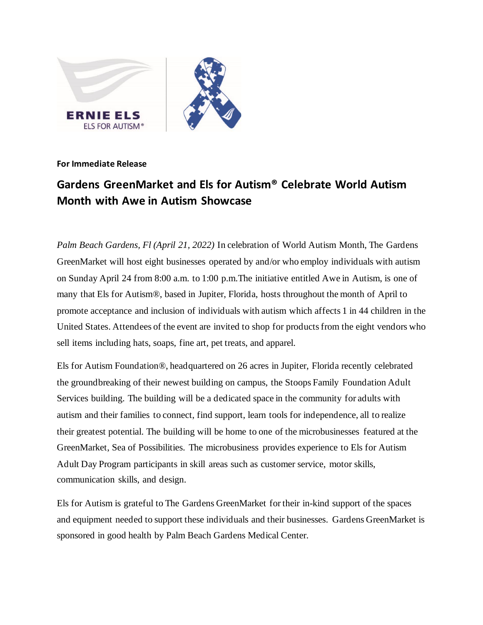

## **For Immediate Release**

## **Gardens GreenMarket and Els for Autism® Celebrate World Autism Month with Awe in Autism Showcase**

*Palm Beach Gardens, Fl (April 21, 2022)* In celebration of World Autism Month, The Gardens GreenMarket will host eight businesses operated by and/or who employ individuals with autism on Sunday April 24 from 8:00 a.m. to 1:00 p.m.The initiative entitled Awe in Autism, is one of many that Els for Autism®, based in Jupiter, Florida, hosts throughout the month of April to promote acceptance and inclusion of individuals with autism which affects 1 in 44 children in the United States. Attendees of the event are invited to shop for products from the eight vendors who sell items including hats, soaps, fine art, pet treats, and apparel.

Els for Autism Foundation®, headquartered on 26 acres in Jupiter, Florida recently celebrated the groundbreaking of their newest building on campus, the Stoops Family Foundation Adult Services building. The building will be a dedicated space in the community for adults with autism and their families to connect, find support, learn tools for independence, all to realize their greatest potential. The building will be home to one of the microbusinesses featured at the GreenMarket, Sea of Possibilities. The microbusiness provides experience to Els for Autism Adult Day Program participants in skill areas such as customer service, motor skills, communication skills, and design.

Els for Autism is grateful to The Gardens GreenMarket for their in-kind support of the spaces and equipment needed to support these individuals and their businesses. Gardens GreenMarket is sponsored in good health by Palm Beach Gardens Medical Center.